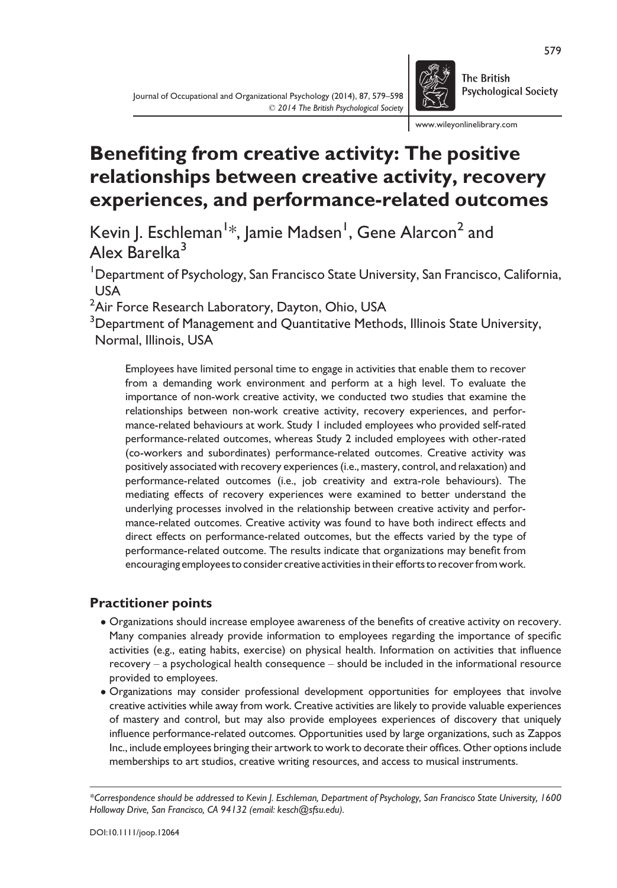

www.wileyonlinelibrary.com

# Benefiting from creative activity: The positive relationships between creative activity, recovery experiences, and performance-related outcomes

Kevin J. Eschleman<sup>1</sup>\*, Jamie Madsen<sup>1</sup>, Gene Alarcon<sup>2</sup> and Alex Barelka<sup>3</sup>

<sup>1</sup>Department of Psychology, San Francisco State University, San Francisco, California, USA

 $^2$ Air Force Research Laboratory, Dayton, Ohio, USA

 $^3$ Department of Management and Quantitative Methods, Illinois State University, Normal, Illinois, USA

Employees have limited personal time to engage in activities that enable them to recover from a demanding work environment and perform at a high level. To evaluate the importance of non-work creative activity, we conducted two studies that examine the relationships between non-work creative activity, recovery experiences, and performance-related behaviours at work. Study 1 included employees who provided self-rated performance-related outcomes, whereas Study 2 included employees with other-rated (co-workers and subordinates) performance-related outcomes. Creative activity was positively associated with recovery experiences (i.e., mastery, control, and relaxation) and performance-related outcomes (i.e., job creativity and extra-role behaviours). The mediating effects of recovery experiences were examined to better understand the underlying processes involved in the relationship between creative activity and performance-related outcomes. Creative activity was found to have both indirect effects and direct effects on performance-related outcomes, but the effects varied by the type of performance-related outcome. The results indicate that organizations may benefit from encouraging employees to consider creative activities in their efforts to recover from work.

# Practitioner points

- Organizations should increase employee awareness of the benefits of creative activity on recovery. Many companies already provide information to employees regarding the importance of specific activities (e.g., eating habits, exercise) on physical health. Information on activities that influence recovery – a psychological health consequence – should be included in the informational resource provided to employees.
- Organizations may consider professional development opportunities for employees that involve creative activities while away from work. Creative activities are likely to provide valuable experiences of mastery and control, but may also provide employees experiences of discovery that uniquely influence performance-related outcomes. Opportunities used by large organizations, such as Zappos Inc., include employees bringing their artwork to work to decorate their offices. Other options include memberships to art studios, creative writing resources, and access to musical instruments.

<sup>\*</sup>Correspondence should be addressed to Kevin J. Eschleman, Department of Psychology, San Francisco State University, 1600 Holloway Drive, San Francisco, CA 94132 (email: kesch@sfsu.edu).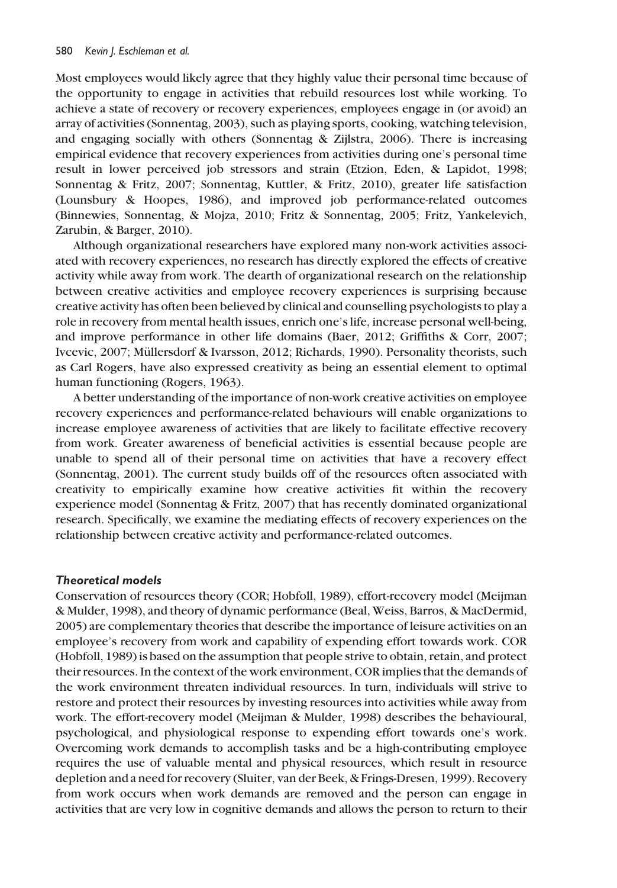Most employees would likely agree that they highly value their personal time because of the opportunity to engage in activities that rebuild resources lost while working. To achieve a state of recovery or recovery experiences, employees engage in (or avoid) an array of activities (Sonnentag, 2003), such as playing sports, cooking, watching television, and engaging socially with others (Sonnentag  $\&$  Zijlstra, 2006). There is increasing empirical evidence that recovery experiences from activities during one's personal time result in lower perceived job stressors and strain (Etzion, Eden, & Lapidot, 1998; Sonnentag & Fritz, 2007; Sonnentag, Kuttler, & Fritz, 2010), greater life satisfaction (Lounsbury & Hoopes, 1986), and improved job performance-related outcomes (Binnewies, Sonnentag, & Mojza, 2010; Fritz & Sonnentag, 2005; Fritz, Yankelevich, Zarubin, & Barger, 2010).

Although organizational researchers have explored many non-work activities associated with recovery experiences, no research has directly explored the effects of creative activity while away from work. The dearth of organizational research on the relationship between creative activities and employee recovery experiences is surprising because creative activity has often been believed by clinical and counselling psychologists to play a role in recovery from mental health issues, enrich one's life, increase personal well-being, and improve performance in other life domains (Baer, 2012; Griffiths & Corr, 2007; Ivcevic, 2007; Müllersdorf & Ivarsson, 2012; Richards, 1990). Personality theorists, such as Carl Rogers, have also expressed creativity as being an essential element to optimal human functioning (Rogers, 1963).

A better understanding of the importance of non-work creative activities on employee recovery experiences and performance-related behaviours will enable organizations to increase employee awareness of activities that are likely to facilitate effective recovery from work. Greater awareness of beneficial activities is essential because people are unable to spend all of their personal time on activities that have a recovery effect (Sonnentag, 2001). The current study builds off of the resources often associated with creativity to empirically examine how creative activities fit within the recovery experience model (Sonnentag & Fritz, 2007) that has recently dominated organizational research. Specifically, we examine the mediating effects of recovery experiences on the relationship between creative activity and performance-related outcomes.

## Theoretical models

Conservation of resources theory (COR; Hobfoll, 1989), effort-recovery model (Meijman & Mulder, 1998), and theory of dynamic performance (Beal, Weiss, Barros, & MacDermid, 2005) are complementary theories that describe the importance of leisure activities on an employee's recovery from work and capability of expending effort towards work. COR (Hobfoll, 1989) is based on the assumption that people strive to obtain, retain, and protect their resources. In the context of the work environment, COR implies that the demands of the work environment threaten individual resources. In turn, individuals will strive to restore and protect their resources by investing resources into activities while away from work. The effort-recovery model (Meijman & Mulder, 1998) describes the behavioural, psychological, and physiological response to expending effort towards one's work. Overcoming work demands to accomplish tasks and be a high-contributing employee requires the use of valuable mental and physical resources, which result in resource depletion and a need for recovery (Sluiter, van der Beek, & Frings-Dresen, 1999). Recovery from work occurs when work demands are removed and the person can engage in activities that are very low in cognitive demands and allows the person to return to their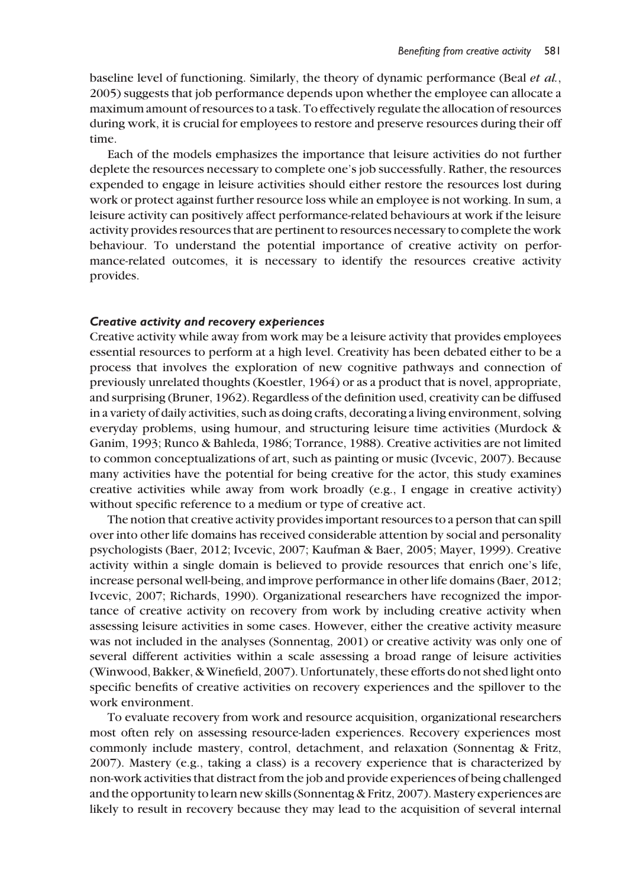baseline level of functioning. Similarly, the theory of dynamic performance (Beal et al., 2005) suggests that job performance depends upon whether the employee can allocate a maximum amount of resources to a task. To effectively regulate the allocation of resources during work, it is crucial for employees to restore and preserve resources during their off time.

Each of the models emphasizes the importance that leisure activities do not further deplete the resources necessary to complete one's job successfully. Rather, the resources expended to engage in leisure activities should either restore the resources lost during work or protect against further resource loss while an employee is not working. In sum, a leisure activity can positively affect performance-related behaviours at work if the leisure activity provides resources that are pertinent to resources necessary to complete the work behaviour. To understand the potential importance of creative activity on performance-related outcomes, it is necessary to identify the resources creative activity provides.

#### Creative activity and recovery experiences

Creative activity while away from work may be a leisure activity that provides employees essential resources to perform at a high level. Creativity has been debated either to be a process that involves the exploration of new cognitive pathways and connection of previously unrelated thoughts (Koestler, 1964) or as a product that is novel, appropriate, and surprising (Bruner, 1962). Regardless of the definition used, creativity can be diffused in a variety of daily activities, such as doing crafts, decorating a living environment, solving everyday problems, using humour, and structuring leisure time activities (Murdock & Ganim, 1993; Runco & Bahleda, 1986; Torrance, 1988). Creative activities are not limited to common conceptualizations of art, such as painting or music (Ivcevic, 2007). Because many activities have the potential for being creative for the actor, this study examines creative activities while away from work broadly (e.g., I engage in creative activity) without specific reference to a medium or type of creative act.

The notion that creative activity provides important resources to a person that can spill over into other life domains has received considerable attention by social and personality psychologists (Baer, 2012; Ivcevic, 2007; Kaufman & Baer, 2005; Mayer, 1999). Creative activity within a single domain is believed to provide resources that enrich one's life, increase personal well-being, and improve performance in other life domains (Baer, 2012; Ivcevic, 2007; Richards, 1990). Organizational researchers have recognized the importance of creative activity on recovery from work by including creative activity when assessing leisure activities in some cases. However, either the creative activity measure was not included in the analyses (Sonnentag, 2001) or creative activity was only one of several different activities within a scale assessing a broad range of leisure activities (Winwood, Bakker, &Winefield, 2007). Unfortunately, these efforts do not shed light onto specific benefits of creative activities on recovery experiences and the spillover to the work environment.

To evaluate recovery from work and resource acquisition, organizational researchers most often rely on assessing resource-laden experiences. Recovery experiences most commonly include mastery, control, detachment, and relaxation (Sonnentag & Fritz, 2007). Mastery (e.g., taking a class) is a recovery experience that is characterized by non-work activities that distract from the job and provide experiences of being challenged and the opportunity to learn new skills (Sonnentag & Fritz, 2007). Mastery experiences are likely to result in recovery because they may lead to the acquisition of several internal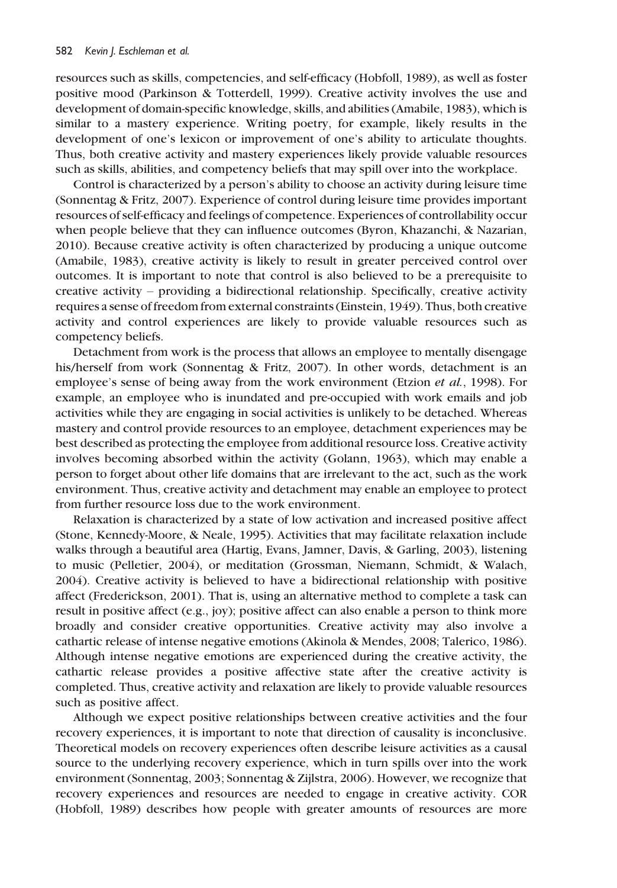resources such as skills, competencies, and self-efficacy (Hobfoll, 1989), as well as foster positive mood (Parkinson & Totterdell, 1999). Creative activity involves the use and development of domain-specific knowledge, skills, and abilities (Amabile, 1983), which is similar to a mastery experience. Writing poetry, for example, likely results in the development of one's lexicon or improvement of one's ability to articulate thoughts. Thus, both creative activity and mastery experiences likely provide valuable resources such as skills, abilities, and competency beliefs that may spill over into the workplace.

Control is characterized by a person's ability to choose an activity during leisure time (Sonnentag & Fritz, 2007). Experience of control during leisure time provides important resources of self-efficacy and feelings of competence. Experiences of controllability occur when people believe that they can influence outcomes (Byron, Khazanchi, & Nazarian, 2010). Because creative activity is often characterized by producing a unique outcome (Amabile, 1983), creative activity is likely to result in greater perceived control over outcomes. It is important to note that control is also believed to be a prerequisite to creative activity – providing a bidirectional relationship. Specifically, creative activity requires a sense of freedom from external constraints (Einstein, 1949). Thus, both creative activity and control experiences are likely to provide valuable resources such as competency beliefs.

Detachment from work is the process that allows an employee to mentally disengage his/herself from work (Sonnentag & Fritz, 2007). In other words, detachment is an employee's sense of being away from the work environment (Etzion et al., 1998). For example, an employee who is inundated and pre-occupied with work emails and job activities while they are engaging in social activities is unlikely to be detached. Whereas mastery and control provide resources to an employee, detachment experiences may be best described as protecting the employee from additional resource loss. Creative activity involves becoming absorbed within the activity (Golann, 1963), which may enable a person to forget about other life domains that are irrelevant to the act, such as the work environment. Thus, creative activity and detachment may enable an employee to protect from further resource loss due to the work environment.

Relaxation is characterized by a state of low activation and increased positive affect (Stone, Kennedy-Moore, & Neale, 1995). Activities that may facilitate relaxation include walks through a beautiful area (Hartig, Evans, Jamner, Davis, & Garling, 2003), listening to music (Pelletier, 2004), or meditation (Grossman, Niemann, Schmidt, & Walach, 2004). Creative activity is believed to have a bidirectional relationship with positive affect (Frederickson, 2001). That is, using an alternative method to complete a task can result in positive affect (e.g., joy); positive affect can also enable a person to think more broadly and consider creative opportunities. Creative activity may also involve a cathartic release of intense negative emotions (Akinola & Mendes, 2008; Talerico, 1986). Although intense negative emotions are experienced during the creative activity, the cathartic release provides a positive affective state after the creative activity is completed. Thus, creative activity and relaxation are likely to provide valuable resources such as positive affect.

Although we expect positive relationships between creative activities and the four recovery experiences, it is important to note that direction of causality is inconclusive. Theoretical models on recovery experiences often describe leisure activities as a causal source to the underlying recovery experience, which in turn spills over into the work environment (Sonnentag, 2003; Sonnentag & Zijlstra, 2006). However, we recognize that recovery experiences and resources are needed to engage in creative activity. COR (Hobfoll, 1989) describes how people with greater amounts of resources are more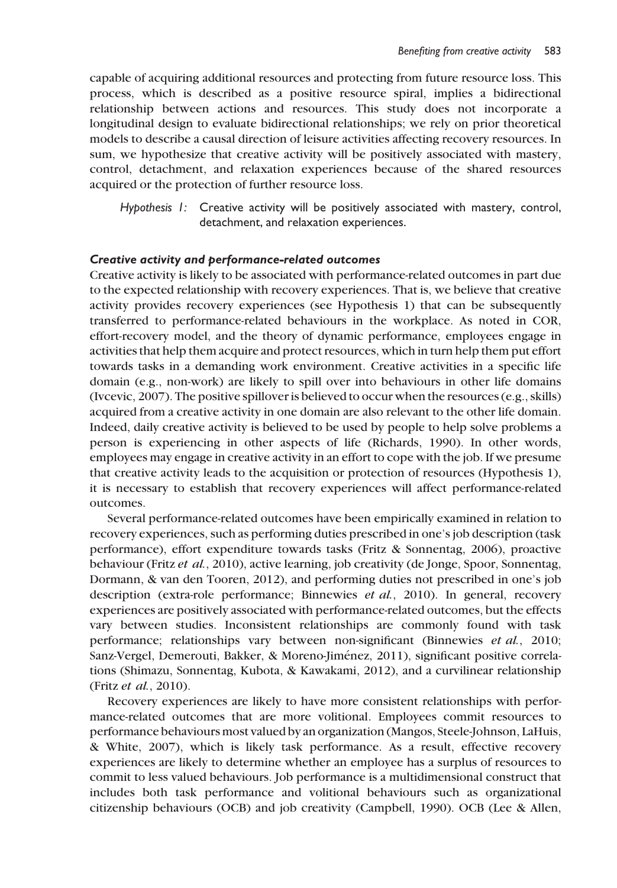capable of acquiring additional resources and protecting from future resource loss. This process, which is described as a positive resource spiral, implies a bidirectional relationship between actions and resources. This study does not incorporate a longitudinal design to evaluate bidirectional relationships; we rely on prior theoretical models to describe a causal direction of leisure activities affecting recovery resources. In sum, we hypothesize that creative activity will be positively associated with mastery, control, detachment, and relaxation experiences because of the shared resources acquired or the protection of further resource loss.

Hypothesis 1: Creative activity will be positively associated with mastery, control, detachment, and relaxation experiences.

#### Creative activity and performance-related outcomes

Creative activity is likely to be associated with performance-related outcomes in part due to the expected relationship with recovery experiences. That is, we believe that creative activity provides recovery experiences (see Hypothesis 1) that can be subsequently transferred to performance-related behaviours in the workplace. As noted in COR, effort-recovery model, and the theory of dynamic performance, employees engage in activities that help them acquire and protect resources, which in turn help them put effort towards tasks in a demanding work environment. Creative activities in a specific life domain (e.g., non-work) are likely to spill over into behaviours in other life domains (Ivcevic, 2007). The positive spillover is believed to occur when the resources (e.g., skills) acquired from a creative activity in one domain are also relevant to the other life domain. Indeed, daily creative activity is believed to be used by people to help solve problems a person is experiencing in other aspects of life (Richards, 1990). In other words, employees may engage in creative activity in an effort to cope with the job. If we presume that creative activity leads to the acquisition or protection of resources (Hypothesis 1), it is necessary to establish that recovery experiences will affect performance-related outcomes.

Several performance-related outcomes have been empirically examined in relation to recovery experiences, such as performing duties prescribed in one's job description (task performance), effort expenditure towards tasks (Fritz & Sonnentag, 2006), proactive behaviour (Fritz et al., 2010), active learning, job creativity (de Jonge, Spoor, Sonnentag, Dormann, & van den Tooren, 2012), and performing duties not prescribed in one's job description (extra-role performance; Binnewies et al., 2010). In general, recovery experiences are positively associated with performance-related outcomes, but the effects vary between studies. Inconsistent relationships are commonly found with task performance; relationships vary between non-significant (Binnewies et al., 2010; Sanz-Vergel, Demerouti, Bakker, & Moreno-Jiménez, 2011), significant positive correlations (Shimazu, Sonnentag, Kubota, & Kawakami, 2012), and a curvilinear relationship (Fritz et al., 2010).

Recovery experiences are likely to have more consistent relationships with performance-related outcomes that are more volitional. Employees commit resources to performance behaviours most valued by an organization (Mangos, Steele-Johnson, LaHuis, & White, 2007), which is likely task performance. As a result, effective recovery experiences are likely to determine whether an employee has a surplus of resources to commit to less valued behaviours. Job performance is a multidimensional construct that includes both task performance and volitional behaviours such as organizational citizenship behaviours (OCB) and job creativity (Campbell, 1990). OCB (Lee & Allen,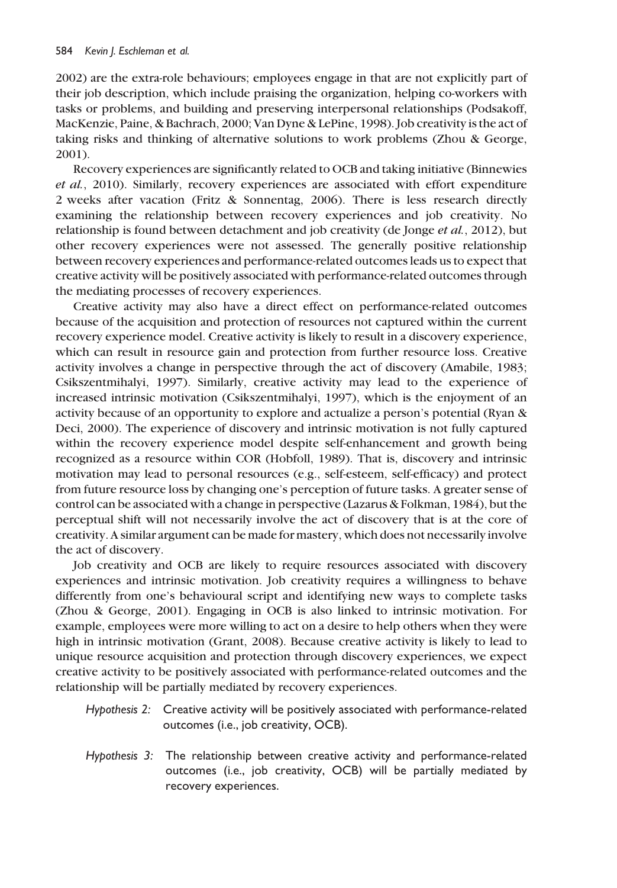2002) are the extra-role behaviours; employees engage in that are not explicitly part of their job description, which include praising the organization, helping co-workers with tasks or problems, and building and preserving interpersonal relationships (Podsakoff, MacKenzie, Paine, & Bachrach, 2000; Van Dyne & LePine, 1998). Job creativity is the act of taking risks and thinking of alternative solutions to work problems (Zhou & George, 2001).

Recovery experiences are significantly related to OCB and taking initiative (Binnewies et al., 2010). Similarly, recovery experiences are associated with effort expenditure 2 weeks after vacation (Fritz & Sonnentag, 2006). There is less research directly examining the relationship between recovery experiences and job creativity. No relationship is found between detachment and job creativity (de Jonge et al., 2012), but other recovery experiences were not assessed. The generally positive relationship between recovery experiences and performance-related outcomes leads us to expect that creative activity will be positively associated with performance-related outcomes through the mediating processes of recovery experiences.

Creative activity may also have a direct effect on performance-related outcomes because of the acquisition and protection of resources not captured within the current recovery experience model. Creative activity is likely to result in a discovery experience, which can result in resource gain and protection from further resource loss. Creative activity involves a change in perspective through the act of discovery (Amabile, 1983; Csikszentmihalyi, 1997). Similarly, creative activity may lead to the experience of increased intrinsic motivation (Csikszentmihalyi, 1997), which is the enjoyment of an activity because of an opportunity to explore and actualize a person's potential (Ryan & Deci, 2000). The experience of discovery and intrinsic motivation is not fully captured within the recovery experience model despite self-enhancement and growth being recognized as a resource within COR (Hobfoll, 1989). That is, discovery and intrinsic motivation may lead to personal resources (e.g., self-esteem, self-efficacy) and protect from future resource loss by changing one's perception of future tasks. A greater sense of control can be associated with a change in perspective (Lazarus & Folkman, 1984), but the perceptual shift will not necessarily involve the act of discovery that is at the core of creativity. A similar argument can be made for mastery, which does not necessarily involve the act of discovery.

Job creativity and OCB are likely to require resources associated with discovery experiences and intrinsic motivation. Job creativity requires a willingness to behave differently from one's behavioural script and identifying new ways to complete tasks (Zhou & George, 2001). Engaging in OCB is also linked to intrinsic motivation. For example, employees were more willing to act on a desire to help others when they were high in intrinsic motivation (Grant, 2008). Because creative activity is likely to lead to unique resource acquisition and protection through discovery experiences, we expect creative activity to be positively associated with performance-related outcomes and the relationship will be partially mediated by recovery experiences.

| Hypothesis 2: Creative activity will be positively associated with performance-related |
|----------------------------------------------------------------------------------------|
| outcomes (i.e., job creativity, OCB).                                                  |

Hypothesis 3: The relationship between creative activity and performance-related outcomes (i.e., job creativity, OCB) will be partially mediated by recovery experiences.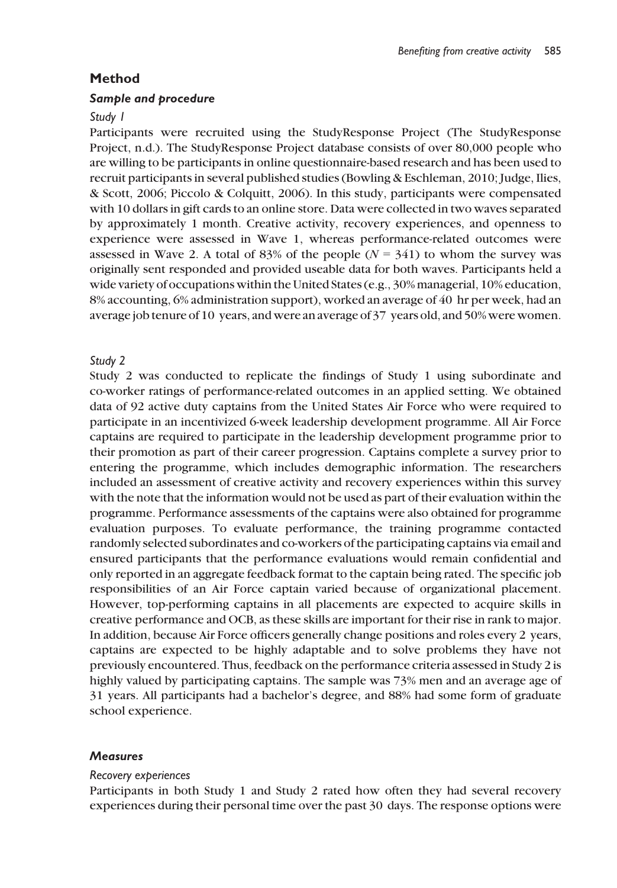## Method

#### Sample and procedure

## Study 1

Participants were recruited using the StudyResponse Project (The StudyResponse Project, n.d.). The StudyResponse Project database consists of over 80,000 people who are willing to be participants in online questionnaire-based research and has been used to recruit participants in several published studies (Bowling & Eschleman, 2010; Judge, Ilies, & Scott, 2006; Piccolo & Colquitt, 2006). In this study, participants were compensated with 10 dollars in gift cards to an online store. Data were collected in two waves separated by approximately 1 month. Creative activity, recovery experiences, and openness to experience were assessed in Wave 1, whereas performance-related outcomes were assessed in Wave 2. A total of 83% of the people  $(N = 341)$  to whom the survey was originally sent responded and provided useable data for both waves. Participants held a wide variety of occupations within the United States (e.g., 30% managerial, 10% education, 8% accounting, 6% administration support), worked an average of 40 hr per week, had an average job tenure of 10 years, and were an average of 37 years old, and 50% were women.

## Study 2

Study 2 was conducted to replicate the findings of Study 1 using subordinate and co-worker ratings of performance-related outcomes in an applied setting. We obtained data of 92 active duty captains from the United States Air Force who were required to participate in an incentivized 6-week leadership development programme. All Air Force captains are required to participate in the leadership development programme prior to their promotion as part of their career progression. Captains complete a survey prior to entering the programme, which includes demographic information. The researchers included an assessment of creative activity and recovery experiences within this survey with the note that the information would not be used as part of their evaluation within the programme. Performance assessments of the captains were also obtained for programme evaluation purposes. To evaluate performance, the training programme contacted randomly selected subordinates and co-workers of the participating captains via email and ensured participants that the performance evaluations would remain confidential and only reported in an aggregate feedback format to the captain being rated. The specific job responsibilities of an Air Force captain varied because of organizational placement. However, top-performing captains in all placements are expected to acquire skills in creative performance and OCB, as these skills are important for their rise in rank to major. In addition, because Air Force officers generally change positions and roles every 2 years, captains are expected to be highly adaptable and to solve problems they have not previously encountered. Thus, feedback on the performance criteria assessed in Study 2 is highly valued by participating captains. The sample was 73% men and an average age of 31 years. All participants had a bachelor's degree, and 88% had some form of graduate school experience.

## **Measures**

#### Recovery experiences

Participants in both Study 1 and Study 2 rated how often they had several recovery experiences during their personal time over the past 30 days. The response options were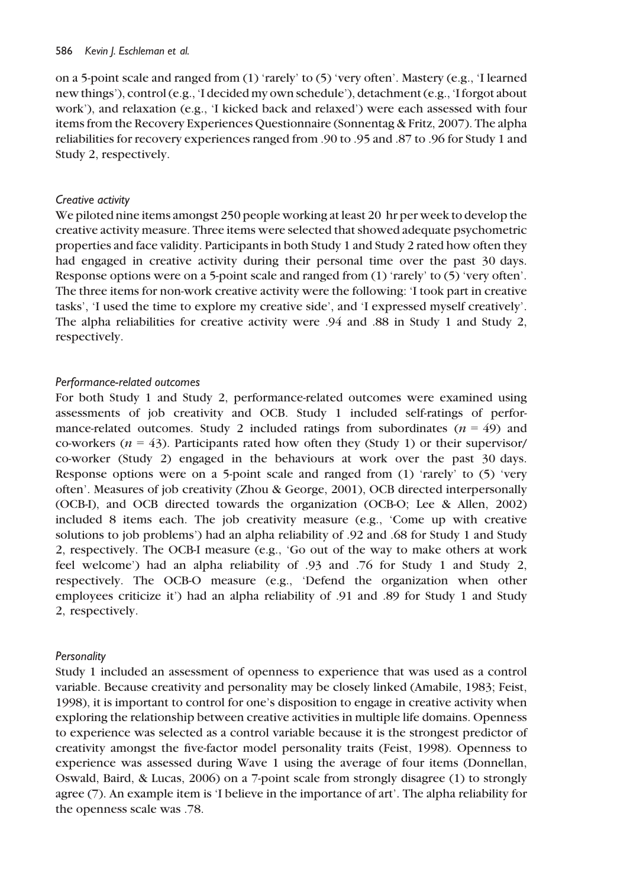on a 5-point scale and ranged from (1) 'rarely' to (5) 'very often'. Mastery (e.g., 'I learned new things'), control (e.g., 'I decided my own schedule'), detachment (e.g., 'I forgot about work'), and relaxation (e.g., 'I kicked back and relaxed') were each assessed with four items from the Recovery Experiences Questionnaire (Sonnentag & Fritz, 2007). The alpha reliabilities for recovery experiences ranged from .90 to .95 and .87 to .96 for Study 1 and Study 2, respectively.

## Creative activity

We piloted nine items amongst 250 people working at least 20 hr per week to develop the creative activity measure. Three items were selected that showed adequate psychometric properties and face validity. Participants in both Study 1 and Study 2 rated how often they had engaged in creative activity during their personal time over the past 30 days. Response options were on a 5-point scale and ranged from (1) 'rarely' to (5) 'very often'. The three items for non-work creative activity were the following: 'I took part in creative tasks', 'I used the time to explore my creative side', and 'I expressed myself creatively'. The alpha reliabilities for creative activity were .94 and .88 in Study 1 and Study 2, respectively.

## Performance-related outcomes

For both Study 1 and Study 2, performance-related outcomes were examined using assessments of job creativity and OCB. Study 1 included self-ratings of performance-related outcomes. Study 2 included ratings from subordinates ( $n = 49$ ) and co-workers ( $n = 43$ ). Participants rated how often they (Study 1) or their supervisor/ co-worker (Study 2) engaged in the behaviours at work over the past 30 days. Response options were on a 5-point scale and ranged from (1) 'rarely' to (5) 'very often'. Measures of job creativity (Zhou & George, 2001), OCB directed interpersonally (OCB-I), and OCB directed towards the organization (OCB-O; Lee & Allen, 2002) included 8 items each. The job creativity measure (e.g., 'Come up with creative solutions to job problems') had an alpha reliability of .92 and .68 for Study 1 and Study 2, respectively. The OCB-I measure (e.g., 'Go out of the way to make others at work feel welcome') had an alpha reliability of .93 and .76 for Study 1 and Study 2, respectively. The OCB-O measure (e.g., 'Defend the organization when other employees criticize it') had an alpha reliability of .91 and .89 for Study 1 and Study 2, respectively.

## **Personality**

Study 1 included an assessment of openness to experience that was used as a control variable. Because creativity and personality may be closely linked (Amabile, 1983; Feist, 1998), it is important to control for one's disposition to engage in creative activity when exploring the relationship between creative activities in multiple life domains. Openness to experience was selected as a control variable because it is the strongest predictor of creativity amongst the five-factor model personality traits (Feist, 1998). Openness to experience was assessed during Wave 1 using the average of four items (Donnellan, Oswald, Baird, & Lucas, 2006) on a 7-point scale from strongly disagree (1) to strongly agree (7). An example item is 'I believe in the importance of art'. The alpha reliability for the openness scale was .78.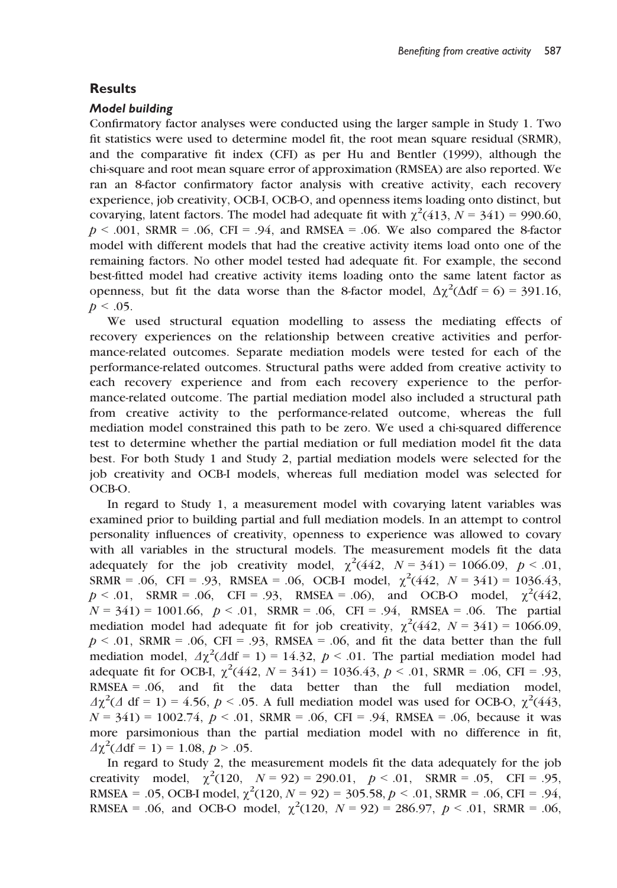## **Results**

## Model building

Confirmatory factor analyses were conducted using the larger sample in Study 1. Two fit statistics were used to determine model fit, the root mean square residual (SRMR), and the comparative fit index (CFI) as per Hu and Bentler (1999), although the chi-square and root mean square error of approximation (RMSEA) are also reported. We ran an 8-factor confirmatory factor analysis with creative activity, each recovery experience, job creativity, OCB-I, OCB-O, and openness items loading onto distinct, but covarying, latent factors. The model had adequate fit with  $\chi^2(413, N = 341) = 990.60$ ,  $p < .001$ , SRMR = .06, CFI = .94, and RMSEA = .06. We also compared the 8-factor model with different models that had the creative activity items load onto one of the remaining factors. No other model tested had adequate fit. For example, the second best-fitted model had creative activity items loading onto the same latent factor as openness, but fit the data worse than the 8-factor model,  $\Delta \chi^2(\Delta df = 6) = 391.16$ ,  $p < .05$ .

We used structural equation modelling to assess the mediating effects of recovery experiences on the relationship between creative activities and performance-related outcomes. Separate mediation models were tested for each of the performance-related outcomes. Structural paths were added from creative activity to each recovery experience and from each recovery experience to the performance-related outcome. The partial mediation model also included a structural path from creative activity to the performance-related outcome, whereas the full mediation model constrained this path to be zero. We used a chi-squared difference test to determine whether the partial mediation or full mediation model fit the data best. For both Study 1 and Study 2, partial mediation models were selected for the job creativity and OCB-I models, whereas full mediation model was selected for OCB-O.

In regard to Study 1, a measurement model with covarying latent variables was examined prior to building partial and full mediation models. In an attempt to control personality influences of creativity, openness to experience was allowed to covary with all variables in the structural models. The measurement models fit the data adequately for the job creativity model,  $\chi^2(442, N = 341) = 1066.09, p < .01$ , SRMR = .06, CFI = .93, RMSEA = .06, OCB-I model,  $\chi^2(442, N = 341) = 1036.43$ ,  $p < .01$ , SRMR = .06, CFI = .93, RMSEA = .06), and OCB-O model,  $\chi^2$ (442,  $N = 341$ ) = 1001.66,  $p < .01$ , SRMR = .06, CFI = .94, RMSEA = .06. The partial mediation model had adequate fit for job creativity,  $\chi^2(442, N = 341) = 1066.09$ ,  $p < .01$ , SRMR =  $.06$ , CFI =  $.93$ , RMSEA =  $.06$ , and fit the data better than the full mediation model,  $\Delta \chi^2(\Delta df = 1) = 14.32$ ,  $p < .01$ . The partial mediation model had adequate fit for OCB-I,  $\chi^2(442, N = 341) = 1036.43, p < .01$ , SRMR = .06, CFI = .93, RMSEA = .06, and fit the data better than the full mediation model,  $\Delta \chi^2(\Delta \text{ df} = 1) = 4.56, p < .05$ . A full mediation model was used for OCB-O,  $\chi^2(443,$  $N = 341$ ) = 1002.74,  $p < .01$ , SRMR = .06, CFI = .94, RMSEA = .06, because it was more parsimonious than the partial mediation model with no difference in fit,  $\Delta \chi^2(\Delta \hat{df} = 1) = 1.08, p > .05.$ 

In regard to Study 2, the measurement models fit the data adequately for the job creativity model,  $\chi^2(120, N = 92) = 290.01, p < .01, SRMR = .05, CFI = .95,$ RMSEA = .05, OCB-I model,  $\chi^2(120, N = 92) = 305.58, p < .01$ , SRMR = .06, CFI = .94, RMSEA = .06, and OCB-O model,  $\chi^2(120, N = 92) = 286.97, p < .01$ , SRMR = .06,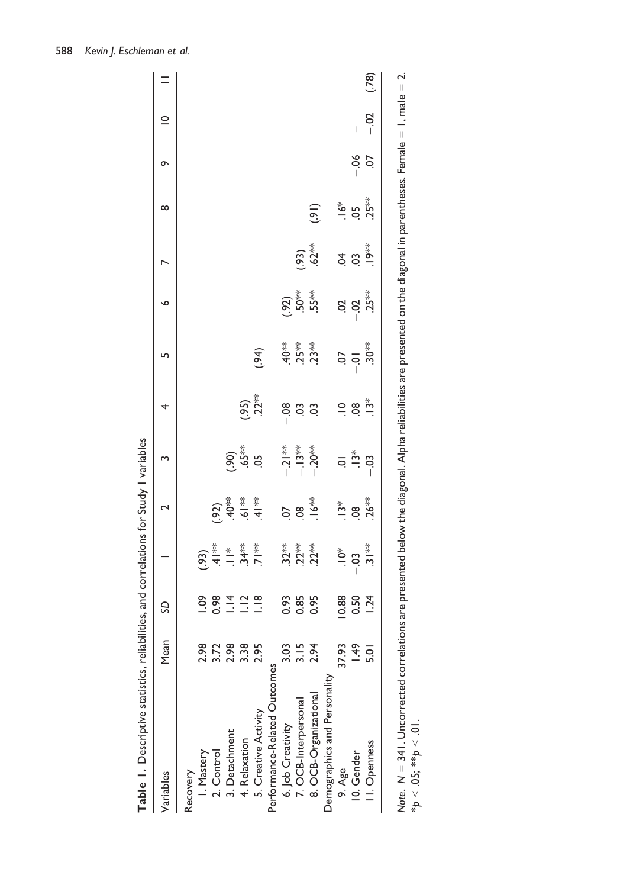| Table 1. Descriptive statistics, reliabilities, and correlations for Study I variables |                |                         |                                                                 |                                                                                                                    |                                     |                                                                                                                                                                                                                                                                                                                     |                                                                                                                          |                                                                                                                                                                                                                                                                                               |                  |                      |        |                                                  |            |
|----------------------------------------------------------------------------------------|----------------|-------------------------|-----------------------------------------------------------------|--------------------------------------------------------------------------------------------------------------------|-------------------------------------|---------------------------------------------------------------------------------------------------------------------------------------------------------------------------------------------------------------------------------------------------------------------------------------------------------------------|--------------------------------------------------------------------------------------------------------------------------|-----------------------------------------------------------------------------------------------------------------------------------------------------------------------------------------------------------------------------------------------------------------------------------------------|------------------|----------------------|--------|--------------------------------------------------|------------|
| Variables                                                                              | Mean           | SD                      |                                                                 |                                                                                                                    | S                                   | 4                                                                                                                                                                                                                                                                                                                   | L∩                                                                                                                       | ∾                                                                                                                                                                                                                                                                                             |                  | ∞                    | ᡡ      | $\subseteq$                                      |            |
| Recovery                                                                               |                |                         |                                                                 |                                                                                                                    |                                     |                                                                                                                                                                                                                                                                                                                     |                                                                                                                          |                                                                                                                                                                                                                                                                                               |                  |                      |        |                                                  |            |
| I. Mastery                                                                             | 2.98           |                         |                                                                 |                                                                                                                    |                                     |                                                                                                                                                                                                                                                                                                                     |                                                                                                                          |                                                                                                                                                                                                                                                                                               |                  |                      |        |                                                  |            |
| 2. Control                                                                             | 3.72           | $0.88128$<br>$-0.78128$ | $\overbrace{39}^{\frac{1}{2}} = \frac{1}{3} \times \frac{1}{3}$ |                                                                                                                    |                                     |                                                                                                                                                                                                                                                                                                                     |                                                                                                                          |                                                                                                                                                                                                                                                                                               |                  |                      |        |                                                  |            |
| 3. Detachment                                                                          | 2.98           |                         |                                                                 | $\overbrace{39}^{\frac{2}{3}}\overbrace{49}^{\frac{2}{3}}\overbrace{49}^{\frac{2}{3}}\overbrace{49}^{\frac{2}{3}}$ |                                     |                                                                                                                                                                                                                                                                                                                     |                                                                                                                          |                                                                                                                                                                                                                                                                                               |                  |                      |        |                                                  |            |
| 4. Relaxation                                                                          | 3.38           |                         |                                                                 |                                                                                                                    |                                     |                                                                                                                                                                                                                                                                                                                     |                                                                                                                          |                                                                                                                                                                                                                                                                                               |                  |                      |        |                                                  |            |
| 5. Creative Activity                                                                   | 2.95           |                         |                                                                 |                                                                                                                    | $(90)$<br>$(90)$<br>$(90)$          | $(95)$<br>$22**$                                                                                                                                                                                                                                                                                                    | $(+6)$                                                                                                                   |                                                                                                                                                                                                                                                                                               |                  |                      |        |                                                  |            |
| Performance-Related Outcomes                                                           |                |                         |                                                                 |                                                                                                                    |                                     |                                                                                                                                                                                                                                                                                                                     |                                                                                                                          |                                                                                                                                                                                                                                                                                               |                  |                      |        |                                                  |            |
| 6. Job Creativity                                                                      | 3.03           |                         |                                                                 |                                                                                                                    |                                     |                                                                                                                                                                                                                                                                                                                     |                                                                                                                          |                                                                                                                                                                                                                                                                                               |                  |                      |        |                                                  |            |
| 7. OCB-Interpersonal                                                                   | $\frac{3}{15}$ |                         |                                                                 |                                                                                                                    | $-13$ $*$<br>$-13$ $*$<br>$-20$ $*$ |                                                                                                                                                                                                                                                                                                                     | $\begin{array}{cccc}\n\ast & \ast & \ast \\ \ast & \ast & \ast \\ \ast & \ast & \ast \\ \ast & \ast & \ast\n\end{array}$ |                                                                                                                                                                                                                                                                                               |                  |                      |        |                                                  |            |
| 8. OCB-Organizational                                                                  | 2.94           | 0.85<br>0.85            | $32 *$<br>$22 *$<br>$22 *$                                      | $5.8\frac{3}{6}$                                                                                                   |                                     | 833                                                                                                                                                                                                                                                                                                                 |                                                                                                                          | $(.92)$<br>50**<br>55**                                                                                                                                                                                                                                                                       | $(66)$<br>$(69)$ | (16)                 |        |                                                  |            |
| Demographics and Personality                                                           |                |                         |                                                                 |                                                                                                                    |                                     |                                                                                                                                                                                                                                                                                                                     |                                                                                                                          |                                                                                                                                                                                                                                                                                               |                  |                      |        |                                                  |            |
| 9. Age                                                                                 | 37.93          |                         |                                                                 |                                                                                                                    |                                     |                                                                                                                                                                                                                                                                                                                     |                                                                                                                          |                                                                                                                                                                                                                                                                                               |                  |                      |        |                                                  |            |
| 10. Gender                                                                             | $\frac{4}{3}$  | 88<br>0.50<br>1.24      | $rac{3}{6}$ $rac{3}{6}$ $rac{3}{6}$                             | $\frac{3}{2}$<br>$\frac{8}{2}$<br>$\frac{8}{2}$                                                                    | $\overline{a}$<br>$\overline{a}$    | $\vec{e}$ is $\vec{e}$                                                                                                                                                                                                                                                                                              | $-5.0$                                                                                                                   | $-32$<br>$-35$<br>$-15$                                                                                                                                                                                                                                                                       | $590 +$          | <u>័</u> ទ ភ្លឺ      |        |                                                  |            |
| II. Openness                                                                           | 5.01           |                         |                                                                 |                                                                                                                    | S.                                  |                                                                                                                                                                                                                                                                                                                     | $30**$                                                                                                                   |                                                                                                                                                                                                                                                                                               |                  |                      | $-8.0$ | $-0.02$                                          | (78)       |
|                                                                                        |                |                         |                                                                 |                                                                                                                    |                                     | $\frac{1}{2}$ $\frac{1}{2}$ $\frac{1}{2}$ $\frac{1}{2}$ $\frac{1}{2}$ $\frac{1}{2}$ $\frac{1}{2}$ $\frac{1}{2}$ $\frac{1}{2}$ $\frac{1}{2}$ $\frac{1}{2}$ $\frac{1}{2}$ $\frac{1}{2}$ $\frac{1}{2}$ $\frac{1}{2}$ $\frac{1}{2}$ $\frac{1}{2}$ $\frac{1}{2}$ $\frac{1}{2}$ $\frac{1}{2}$ $\frac{1}{2}$ $\frac{1}{2}$ |                                                                                                                          | $\frac{1}{2}$ and $\frac{1}{2}$ and $\frac{1}{2}$ and $\frac{1}{2}$ and $\frac{1}{2}$ and $\frac{1}{2}$ and $\frac{1}{2}$ and $\frac{1}{2}$ and $\frac{1}{2}$ and $\frac{1}{2}$ and $\frac{1}{2}$ and $\frac{1}{2}$ and $\frac{1}{2}$ and $\frac{1}{2}$ and $\frac{1}{2}$ and $\frac{1}{2}$ a |                  | $\ddot{\phantom{a}}$ |        | $\begin{bmatrix} 1 \\ 1 \\ 1 \\ 1 \end{bmatrix}$ | $\epsilon$ |

Note. N = 34 I. Uncorrected correlations are presented below the diagonal. Alpha reliabilities are presented on the diagonal in parentheses. Female = 1, male = 2.<br>\*p < .05; \*\*p < .01. Note.  ${\sf N}=34$  1. Uncorrected correlations are presented below the diagonal. Alpha reliabilities are presented on the diagonal in parentheses. Female  $=1$ , male  $=2$  $*$  $p < .05; **p < .01$ .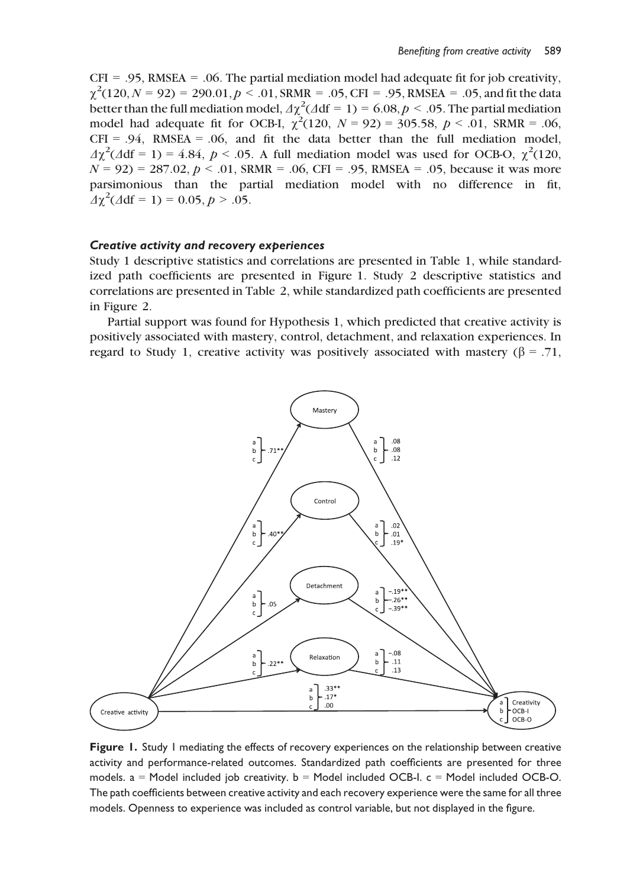$CFI = .95$ , RMSEA = .06. The partial mediation model had adequate fit for job creativity,  $\chi^2(120, N = 92) = 290.01, p < .01, SRMR = .05, CFI = .95, RMSEA = .05, and fit the data$ better than the full mediation model,  $\Delta \chi^2(\Delta {\rm df} = 1) = 6.08, p < .05$  . The partial mediation model had adequate fit for OCB-I,  $\chi^2(120, N = 92) = 305.58, p < .01, SRMR = .06,$  $CFI = .94$ , RMSEA = .06, and fit the data better than the full mediation model,  $\Delta \chi^2 (\Delta df = 1) = 4.84$ ,  $p < .05$ . A full mediation model was used for OCB-O,  $\chi^2(120)$ ,  $N = 92$ ) = 287.02,  $p < .01$ , SRMR = .06, CFI = .95, RMSEA = .05, because it was more parsimonious than the partial mediation model with no difference in fit,  $\Delta \chi^2(\Delta df = 1) = 0.05, p > .05.$ 

#### Creative activity and recovery experiences

Study 1 descriptive statistics and correlations are presented in Table 1, while standardized path coefficients are presented in Figure 1. Study 2 descriptive statistics and correlations are presented in Table 2, while standardized path coefficients are presented in Figure 2.

Partial support was found for Hypothesis 1, which predicted that creative activity is positively associated with mastery, control, detachment, and relaxation experiences. In regard to Study 1, creative activity was positively associated with mastery ( $\beta = .71$ ,



Figure 1. Study 1 mediating the effects of recovery experiences on the relationship between creative activity and performance-related outcomes. Standardized path coefficients are presented for three models.  $a =$  Model included job creativity.  $b =$  Model included OCB-I. c = Model included OCB-O. The path coefficients between creative activity and each recovery experience were the same for all three models. Openness to experience was included as control variable, but not displayed in the figure.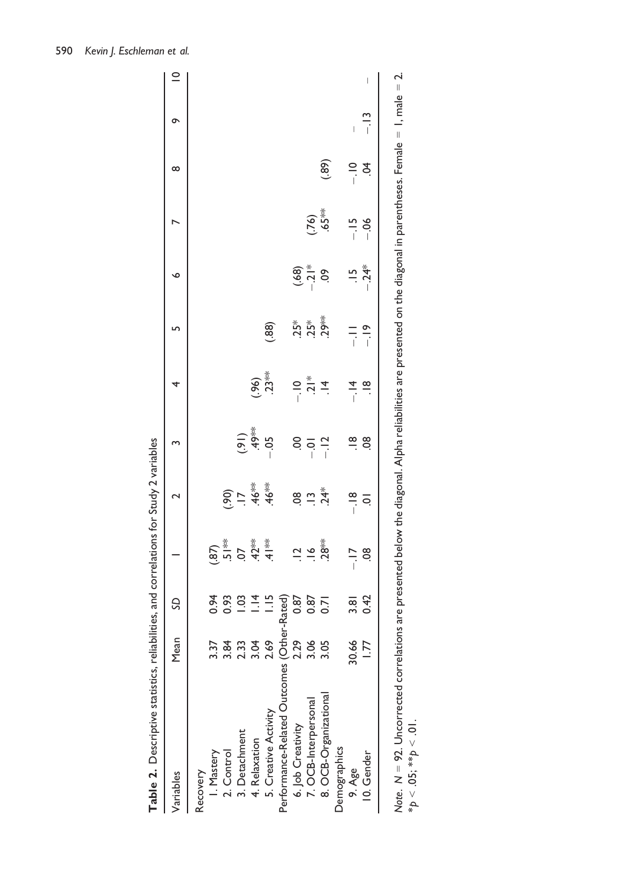| Table 2. Descriptive statistics, reliabilities, and correlations for Study 2 variables |                  |                                              |                                                                                                                                                                                                                                                                              |                                                                      |                                                  |                                                          |                                           |                                                  |                |       |                |             |
|----------------------------------------------------------------------------------------|------------------|----------------------------------------------|------------------------------------------------------------------------------------------------------------------------------------------------------------------------------------------------------------------------------------------------------------------------------|----------------------------------------------------------------------|--------------------------------------------------|----------------------------------------------------------|-------------------------------------------|--------------------------------------------------|----------------|-------|----------------|-------------|
| Variables                                                                              | Mean             | SD                                           |                                                                                                                                                                                                                                                                              | ∼                                                                    |                                                  |                                                          |                                           | ∘                                                |                | ∞     | ᡡ              | $\subseteq$ |
| Recovery                                                                               |                  |                                              |                                                                                                                                                                                                                                                                              |                                                                      |                                                  |                                                          |                                           |                                                  |                |       |                |             |
| I. Mastery                                                                             | 337              |                                              |                                                                                                                                                                                                                                                                              |                                                                      |                                                  |                                                          |                                           |                                                  |                |       |                |             |
| 2. Control                                                                             | $3.\overline{8}$ |                                              |                                                                                                                                                                                                                                                                              |                                                                      |                                                  |                                                          |                                           |                                                  |                |       |                |             |
| 3. Detachment                                                                          | 2.33             | $0.9711$<br>$0.9111$<br>$0.9111$<br>$0.9111$ |                                                                                                                                                                                                                                                                              | $\frac{1}{6}$                                                        |                                                  |                                                          |                                           |                                                  |                |       |                |             |
| 4. Relaxation                                                                          | 3.04             |                                              |                                                                                                                                                                                                                                                                              | $46**$                                                               | $\begin{array}{c} .91 \\ .93 \\ .05 \end{array}$ |                                                          |                                           |                                                  |                |       |                |             |
| 5. Creative Activity                                                                   | 2.69             |                                              | $\frac{1}{2}$<br>$\frac{1}{2}$<br>$\frac{1}{2}$<br>$\frac{1}{2}$<br>$\frac{1}{2}$<br>$\frac{1}{2}$<br>$\frac{1}{2}$<br>$\frac{1}{2}$<br>$\frac{1}{2}$<br>$\frac{1}{2}$<br>$\frac{1}{2}$<br>$\frac{1}{2}$<br>$\frac{1}{2}$<br>$\frac{1}{2}$<br>$\frac{1}{2}$<br>$\frac{1}{2}$ |                                                                      |                                                  | $(.96)$<br>$.23**$                                       | $\left( 88\right)$                        |                                                  |                |       |                |             |
| Performance-Related Outcomes (Oth                                                      |                  | her-Rated)                                   |                                                                                                                                                                                                                                                                              |                                                                      |                                                  |                                                          |                                           |                                                  |                |       |                |             |
| 6. Job Creativity                                                                      | 2.29             |                                              |                                                                                                                                                                                                                                                                              |                                                                      |                                                  |                                                          |                                           |                                                  |                |       |                |             |
| 7. OCB-Interpersonal                                                                   | 3.06             | 12.82<br>28.0<br>29.0                        | $\frac{1}{2}$ $\frac{1}{2}$ $\frac{1}{2}$                                                                                                                                                                                                                                    | $\overset{*}{\approx}$ $\overset{*}{\approx}$ $\overset{*}{\approx}$ | $8\overline{q}$ ; $\frac{1}{2}$                  | $rac{1}{2}$<br>$rac{1}{2}$<br>$rac{1}{2}$<br>$rac{1}{2}$ | ភ្លុ <sub>ំ</sub><br>ភ្លុំ ភ្លុំ<br>ភ្លុំ | $(68)$<br>$-27$<br>$-15$<br>$-39$                |                |       |                |             |
| 8. OCB-Organizational                                                                  | 3.05             |                                              |                                                                                                                                                                                                                                                                              |                                                                      |                                                  |                                                          |                                           |                                                  | (0.76)         | (89)  |                |             |
| Demographics                                                                           |                  |                                              |                                                                                                                                                                                                                                                                              |                                                                      |                                                  |                                                          |                                           |                                                  |                |       |                |             |
| 9. Age                                                                                 | 30.66            |                                              | $-1$                                                                                                                                                                                                                                                                         | $\frac{8}{1}$                                                        |                                                  | $rac{4}{1}$ $rac{8}{1}$                                  | $\frac{1}{\overline{1}}$                  |                                                  |                | $-10$ |                |             |
| 10. Gender                                                                             | 177              | $3.81$<br>0.42                               | œ.                                                                                                                                                                                                                                                                           | $\overline{\circ}$                                                   | $\frac{8}{1}$ $\frac{8}{1}$                      |                                                          | $\frac{9}{1}$                             | $-15.24*$                                        | $-15$<br>$-16$ | Š     | $-13$          |             |
| $M = M - 00$                                                                           |                  |                                              |                                                                                                                                                                                                                                                                              |                                                                      |                                                  |                                                          |                                           | المستحدث والمستحدث والمستحدث والمستحدث والمستحدث |                |       | $\overline{a}$ |             |

| j.<br>t            |  |
|--------------------|--|
| $\parallel$        |  |
| d<br>j<br>ī        |  |
| i                  |  |
|                    |  |
| $\mathsf{I}$       |  |
|                    |  |
| <b>Second</b><br>l |  |
| Ï                  |  |
| i<br>ţ             |  |
| 1<br>ţ             |  |
| i                  |  |
| Ì                  |  |
|                    |  |
| ׇ֚֘֡               |  |
|                    |  |
| j<br>j             |  |
|                    |  |
|                    |  |
| I                  |  |
| Ó                  |  |
|                    |  |
|                    |  |
| ׇ֚֘֡               |  |
|                    |  |
| ׇ֚֘֡               |  |
|                    |  |
|                    |  |
|                    |  |
|                    |  |
| j                  |  |
|                    |  |
|                    |  |
| ֚֓֡                |  |
| I                  |  |
| ı                  |  |
|                    |  |
|                    |  |
| ś                  |  |
|                    |  |
|                    |  |
|                    |  |
| ֚֕֡֡<br>ׇ֚֘֡       |  |
| ֚֓֡<br>ı           |  |
| C<br>L<br>1        |  |
| ċ<br>5<br>Ç        |  |
| Ì                  |  |
|                    |  |
| ׇ֚֘֡<br>֕          |  |
| į                  |  |
|                    |  |
| ׇ֚֓֡               |  |
|                    |  |
|                    |  |
| l                  |  |
|                    |  |
| II                 |  |
|                    |  |
| ī<br>í<br>j<br>i   |  |
|                    |  |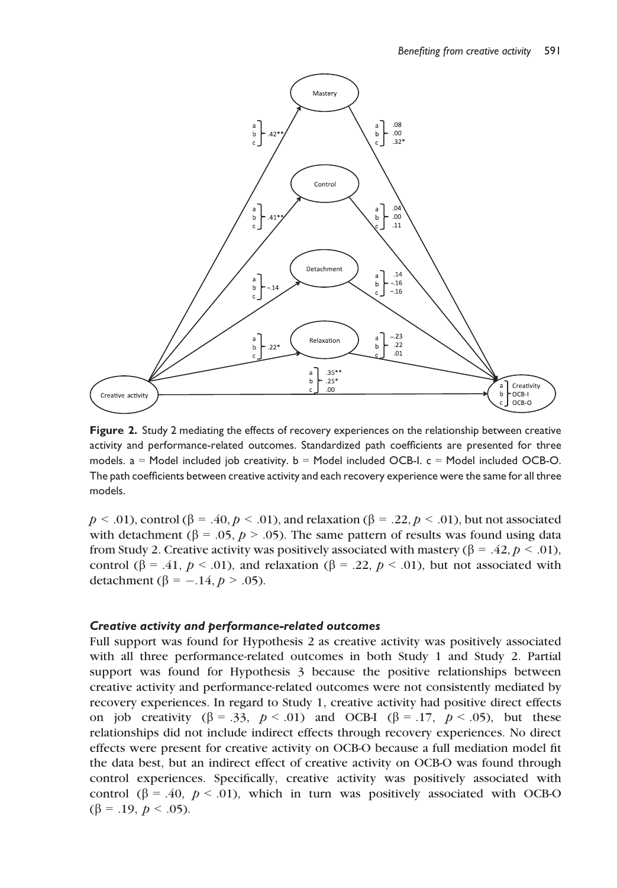

Figure 2. Study 2 mediating the effects of recovery experiences on the relationship between creative activity and performance-related outcomes. Standardized path coefficients are presented for three models.  $a =$  Model included job creativity.  $b =$  Model included OCB-I.  $c =$  Model included OCB-O. The path coefficients between creative activity and each recovery experience were the same for all three models.

 $p < .01$ ), control ( $\beta = .40, p < .01$ ), and relaxation ( $\beta = .22, p < .01$ ), but not associated with detachment ( $\beta = 0.05$ ,  $p > 0.05$ ). The same pattern of results was found using data from Study 2. Creative activity was positively associated with mastery ( $\beta = .42, p < .01$ ), control ( $\beta$  = .41,  $p < .01$ ), and relaxation ( $\beta$  = .22,  $p < .01$ ), but not associated with detachment ( $\beta = -.14, p > .05$ ).

#### Creative activity and performance-related outcomes

Full support was found for Hypothesis 2 as creative activity was positively associated with all three performance-related outcomes in both Study 1 and Study 2. Partial support was found for Hypothesis 3 because the positive relationships between creative activity and performance-related outcomes were not consistently mediated by recovery experiences. In regard to Study 1, creative activity had positive direct effects on job creativity ( $\beta = .33$ ,  $p < .01$ ) and OCB-I ( $\beta = .17$ ,  $p < .05$ ), but these relationships did not include indirect effects through recovery experiences. No direct effects were present for creative activity on OCB-O because a full mediation model fit the data best, but an indirect effect of creative activity on OCB-O was found through control experiences. Specifically, creative activity was positively associated with control  $(\beta = .40, p < .01)$ , which in turn was positively associated with OCB-O  $(\beta = .19, p < .05)$ .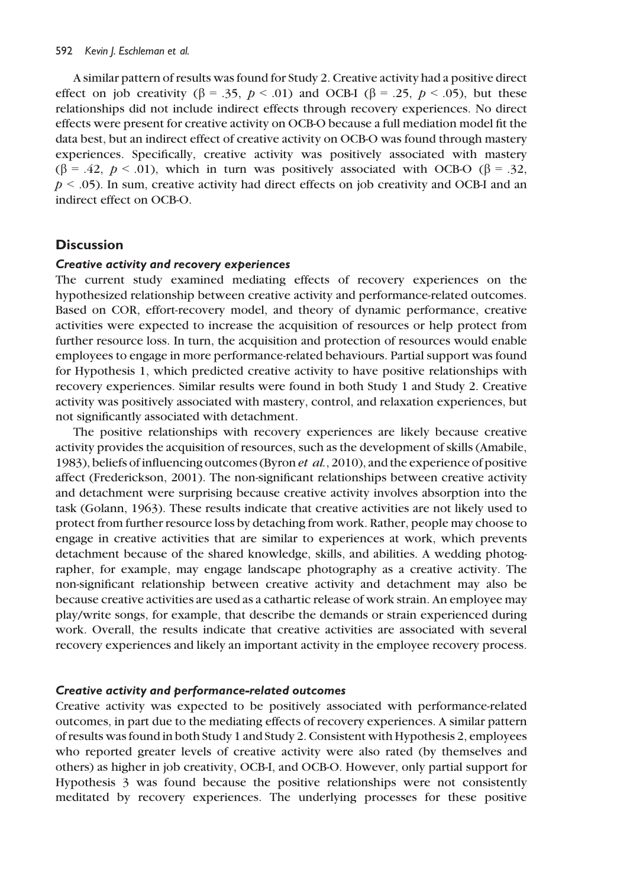A similar pattern of results was found for Study 2. Creative activity had a positive direct effect on job creativity ( $\beta = .35$ ,  $p < .01$ ) and OCB-I ( $\beta = .25$ ,  $p < .05$ ), but these relationships did not include indirect effects through recovery experiences. No direct effects were present for creative activity on OCB-O because a full mediation model fit the data best, but an indirect effect of creative activity on OCB-O was found through mastery experiences. Specifically, creative activity was positively associated with mastery ( $\beta$  = .42,  $p$  < .01), which in turn was positively associated with OCB-O ( $\beta$  = .32,  $p < .05$ ). In sum, creative activity had direct effects on job creativity and OCB-I and an indirect effect on OCB-O.

## **Discussion**

#### Creative activity and recovery experiences

The current study examined mediating effects of recovery experiences on the hypothesized relationship between creative activity and performance-related outcomes. Based on COR, effort-recovery model, and theory of dynamic performance, creative activities were expected to increase the acquisition of resources or help protect from further resource loss. In turn, the acquisition and protection of resources would enable employees to engage in more performance-related behaviours. Partial support was found for Hypothesis 1, which predicted creative activity to have positive relationships with recovery experiences. Similar results were found in both Study 1 and Study 2. Creative activity was positively associated with mastery, control, and relaxation experiences, but not significantly associated with detachment.

The positive relationships with recovery experiences are likely because creative activity provides the acquisition of resources, such as the development of skills (Amabile, 1983), beliefs of influencing outcomes (Byron *et al.*, 2010), and the experience of positive affect (Frederickson, 2001). The non-significant relationships between creative activity and detachment were surprising because creative activity involves absorption into the task (Golann, 1963). These results indicate that creative activities are not likely used to protect from further resource loss by detaching from work. Rather, people may choose to engage in creative activities that are similar to experiences at work, which prevents detachment because of the shared knowledge, skills, and abilities. A wedding photographer, for example, may engage landscape photography as a creative activity. The non-significant relationship between creative activity and detachment may also be because creative activities are used as a cathartic release of work strain. An employee may play/write songs, for example, that describe the demands or strain experienced during work. Overall, the results indicate that creative activities are associated with several recovery experiences and likely an important activity in the employee recovery process.

#### Creative activity and performance-related outcomes

Creative activity was expected to be positively associated with performance-related outcomes, in part due to the mediating effects of recovery experiences. A similar pattern of results was found in both Study 1 and Study 2. Consistent with Hypothesis 2, employees who reported greater levels of creative activity were also rated (by themselves and others) as higher in job creativity, OCB-I, and OCB-O. However, only partial support for Hypothesis 3 was found because the positive relationships were not consistently meditated by recovery experiences. The underlying processes for these positive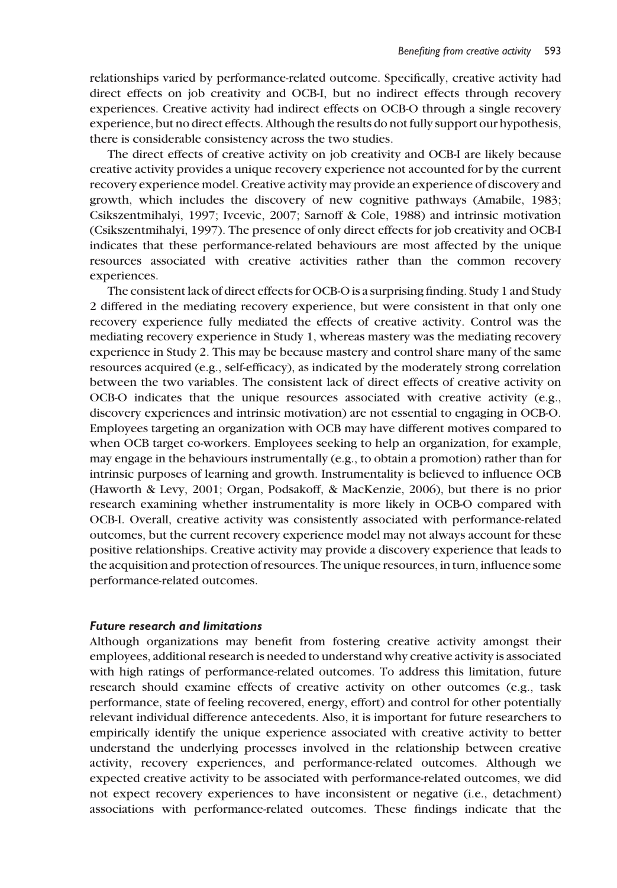relationships varied by performance-related outcome. Specifically, creative activity had direct effects on job creativity and OCB-I, but no indirect effects through recovery experiences. Creative activity had indirect effects on OCB-O through a single recovery experience, but no direct effects. Although the results do not fully support our hypothesis, there is considerable consistency across the two studies.

The direct effects of creative activity on job creativity and OCB-I are likely because creative activity provides a unique recovery experience not accounted for by the current recovery experience model. Creative activity may provide an experience of discovery and growth, which includes the discovery of new cognitive pathways (Amabile, 1983; Csikszentmihalyi, 1997; Ivcevic, 2007; Sarnoff & Cole, 1988) and intrinsic motivation (Csikszentmihalyi, 1997). The presence of only direct effects for job creativity and OCB-I indicates that these performance-related behaviours are most affected by the unique resources associated with creative activities rather than the common recovery experiences.

The consistent lack of direct effects for OCB-O is a surprising finding. Study 1 and Study 2 differed in the mediating recovery experience, but were consistent in that only one recovery experience fully mediated the effects of creative activity. Control was the mediating recovery experience in Study 1, whereas mastery was the mediating recovery experience in Study 2. This may be because mastery and control share many of the same resources acquired (e.g., self-efficacy), as indicated by the moderately strong correlation between the two variables. The consistent lack of direct effects of creative activity on OCB-O indicates that the unique resources associated with creative activity (e.g., discovery experiences and intrinsic motivation) are not essential to engaging in OCB-O. Employees targeting an organization with OCB may have different motives compared to when OCB target co-workers. Employees seeking to help an organization, for example, may engage in the behaviours instrumentally (e.g., to obtain a promotion) rather than for intrinsic purposes of learning and growth. Instrumentality is believed to influence OCB (Haworth & Levy, 2001; Organ, Podsakoff, & MacKenzie, 2006), but there is no prior research examining whether instrumentality is more likely in OCB-O compared with OCB-I. Overall, creative activity was consistently associated with performance-related outcomes, but the current recovery experience model may not always account for these positive relationships. Creative activity may provide a discovery experience that leads to the acquisition and protection of resources. The unique resources, in turn, influence some performance-related outcomes.

#### Future research and limitations

Although organizations may benefit from fostering creative activity amongst their employees, additional research is needed to understand why creative activity is associated with high ratings of performance-related outcomes. To address this limitation, future research should examine effects of creative activity on other outcomes (e.g., task performance, state of feeling recovered, energy, effort) and control for other potentially relevant individual difference antecedents. Also, it is important for future researchers to empirically identify the unique experience associated with creative activity to better understand the underlying processes involved in the relationship between creative activity, recovery experiences, and performance-related outcomes. Although we expected creative activity to be associated with performance-related outcomes, we did not expect recovery experiences to have inconsistent or negative (i.e., detachment) associations with performance-related outcomes. These findings indicate that the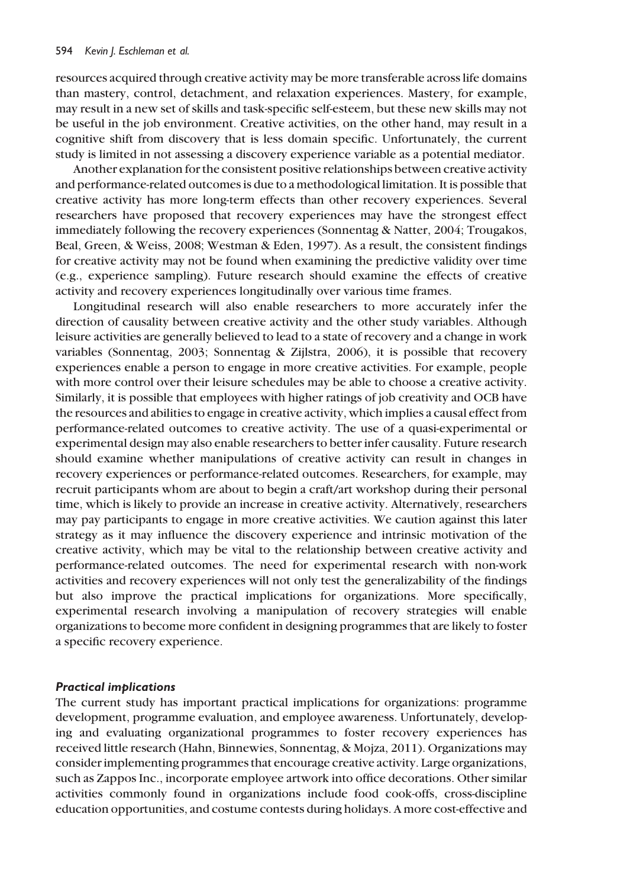resources acquired through creative activity may be more transferable across life domains than mastery, control, detachment, and relaxation experiences. Mastery, for example, may result in a new set of skills and task-specific self-esteem, but these new skills may not be useful in the job environment. Creative activities, on the other hand, may result in a cognitive shift from discovery that is less domain specific. Unfortunately, the current study is limited in not assessing a discovery experience variable as a potential mediator.

Another explanation for the consistent positive relationships between creative activity and performance-related outcomes is due to a methodological limitation. It is possible that creative activity has more long-term effects than other recovery experiences. Several researchers have proposed that recovery experiences may have the strongest effect immediately following the recovery experiences (Sonnentag & Natter, 2004; Trougakos, Beal, Green, & Weiss, 2008; Westman & Eden, 1997). As a result, the consistent findings for creative activity may not be found when examining the predictive validity over time (e.g., experience sampling). Future research should examine the effects of creative activity and recovery experiences longitudinally over various time frames.

Longitudinal research will also enable researchers to more accurately infer the direction of causality between creative activity and the other study variables. Although leisure activities are generally believed to lead to a state of recovery and a change in work variables (Sonnentag, 2003; Sonnentag & Zijlstra, 2006), it is possible that recovery experiences enable a person to engage in more creative activities. For example, people with more control over their leisure schedules may be able to choose a creative activity. Similarly, it is possible that employees with higher ratings of job creativity and OCB have the resources and abilities to engage in creative activity, which implies a causal effect from performance-related outcomes to creative activity. The use of a quasi-experimental or experimental design may also enable researchers to better infer causality. Future research should examine whether manipulations of creative activity can result in changes in recovery experiences or performance-related outcomes. Researchers, for example, may recruit participants whom are about to begin a craft/art workshop during their personal time, which is likely to provide an increase in creative activity. Alternatively, researchers may pay participants to engage in more creative activities. We caution against this later strategy as it may influence the discovery experience and intrinsic motivation of the creative activity, which may be vital to the relationship between creative activity and performance-related outcomes. The need for experimental research with non-work activities and recovery experiences will not only test the generalizability of the findings but also improve the practical implications for organizations. More specifically, experimental research involving a manipulation of recovery strategies will enable organizations to become more confident in designing programmes that are likely to foster a specific recovery experience.

## Practical implications

The current study has important practical implications for organizations: programme development, programme evaluation, and employee awareness. Unfortunately, developing and evaluating organizational programmes to foster recovery experiences has received little research (Hahn, Binnewies, Sonnentag, & Mojza, 2011). Organizations may consider implementing programmes that encourage creative activity. Large organizations, such as Zappos Inc., incorporate employee artwork into office decorations. Other similar activities commonly found in organizations include food cook-offs, cross-discipline education opportunities, and costume contests during holidays. A more cost-effective and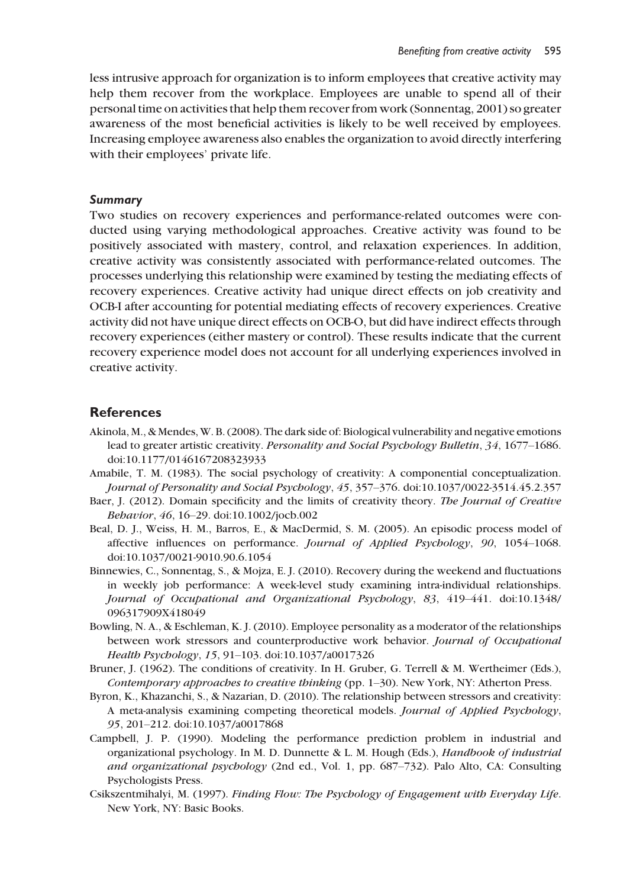less intrusive approach for organization is to inform employees that creative activity may help them recover from the workplace. Employees are unable to spend all of their personal time on activities that help them recover from work (Sonnentag, 2001) so greater awareness of the most beneficial activities is likely to be well received by employees. Increasing employee awareness also enables the organization to avoid directly interfering with their employees' private life.

#### Summary

Two studies on recovery experiences and performance-related outcomes were conducted using varying methodological approaches. Creative activity was found to be positively associated with mastery, control, and relaxation experiences. In addition, creative activity was consistently associated with performance-related outcomes. The processes underlying this relationship were examined by testing the mediating effects of recovery experiences. Creative activity had unique direct effects on job creativity and OCB-I after accounting for potential mediating effects of recovery experiences. Creative activity did not have unique direct effects on OCB-O, but did have indirect effects through recovery experiences (either mastery or control). These results indicate that the current recovery experience model does not account for all underlying experiences involved in creative activity.

#### **References**

- Akinola, M., & Mendes, W. B. (2008). The dark side of: Biological vulnerability and negative emotions lead to greater artistic creativity. Personality and Social Psychology Bulletin, 34, 1677–1686. doi:10.1177/0146167208323933
- Amabile, T. M. (1983). The social psychology of creativity: A componential conceptualization. Journal of Personality and Social Psychology, 45, 357–376. doi:10.1037/0022-3514.45.2.357
- Baer, J. (2012). Domain specificity and the limits of creativity theory. The Journal of Creative Behavior, 46, 16–29. doi:10.1002/jocb.002
- Beal, D. J., Weiss, H. M., Barros, E., & MacDermid, S. M. (2005). An episodic process model of affective influences on performance. Journal of Applied Psychology, 90, 1054–1068. doi:10.1037/0021-9010.90.6.1054
- Binnewies, C., Sonnentag, S., & Mojza, E. J. (2010). Recovery during the weekend and fluctuations in weekly job performance: A week-level study examining intra-individual relationships. Journal of Occupational and Organizational Psychology, 83, 419–441. doi:10.1348/ 096317909X418049
- Bowling, N. A., & Eschleman, K. J. (2010). Employee personality as a moderator of the relationships between work stressors and counterproductive work behavior. Journal of Occupational Health Psychology, 15, 91–103. doi:10.1037/a0017326
- Bruner, J. (1962). The conditions of creativity. In H. Gruber, G. Terrell & M. Wertheimer (Eds.), Contemporary approaches to creative thinking (pp. 1–30). New York, NY: Atherton Press.
- Byron, K., Khazanchi, S., & Nazarian, D. (2010). The relationship between stressors and creativity: A meta-analysis examining competing theoretical models. Journal of Applied Psychology, 95, 201–212. doi:10.1037/a0017868
- Campbell, J. P. (1990). Modeling the performance prediction problem in industrial and organizational psychology. In M. D. Dunnette & L. M. Hough (Eds.), Handbook of industrial and organizational psychology (2nd ed., Vol. 1, pp. 687–732). Palo Alto, CA: Consulting Psychologists Press.
- Csikszentmihalyi, M. (1997). Finding Flow: The Psychology of Engagement with Everyday Life. New York, NY: Basic Books.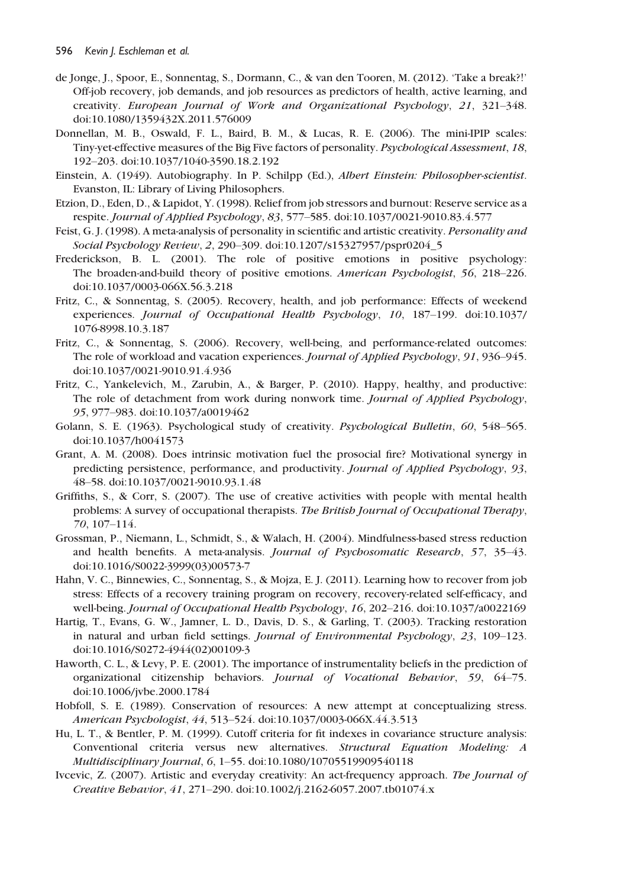- de Jonge, J., Spoor, E., Sonnentag, S., Dormann, C., & van den Tooren, M. (2012). 'Take a break?!' Off-job recovery, job demands, and job resources as predictors of health, active learning, and creativity. European Journal of Work and Organizational Psychology, 21, 321–348. doi:10.1080/1359432X.2011.576009
- Donnellan, M. B., Oswald, F. L., Baird, B. M., & Lucas, R. E. (2006). The mini-IPIP scales: Tiny-yet-effective measures of the Big Five factors of personality. Psychological Assessment, 18, 192–203. doi:10.1037/1040-3590.18.2.192
- Einstein, A. (1949). Autobiography. In P. Schilpp (Ed.), Albert Einstein: Philosopher-scientist. Evanston, IL: Library of Living Philosophers.
- Etzion, D., Eden, D., & Lapidot, Y. (1998). Relief from job stressors and burnout: Reserve service as a respite. Journal of Applied Psychology, 83, 577–585. doi:10.1037/0021-9010.83.4.577
- Feist, G. J. (1998). A meta-analysis of personality in scientific and artistic creativity. Personality and Social Psychology Review, 2, 290–309. doi:10.1207/s15327957/pspr0204\_5
- Frederickson, B. L. (2001). The role of positive emotions in positive psychology: The broaden-and-build theory of positive emotions. American Psychologist, 56, 218–226. doi:10.1037/0003-066X.56.3.218
- Fritz, C., & Sonnentag, S. (2005). Recovery, health, and job performance: Effects of weekend experiences. Journal of Occupational Health Psychology, 10, 187–199. doi:10.1037/ 1076-8998.10.3.187
- Fritz, C., & Sonnentag, S. (2006). Recovery, well-being, and performance-related outcomes: The role of workload and vacation experiences. Journal of Applied Psychology, 91, 936–945. doi:10.1037/0021-9010.91.4.936
- Fritz, C., Yankelevich, M., Zarubin, A., & Barger, P. (2010). Happy, healthy, and productive: The role of detachment from work during nonwork time. Journal of Applied Psychology, 95, 977–983. doi:10.1037/a0019462
- Golann, S. E. (1963). Psychological study of creativity. Psychological Bulletin, 60, 548–565. doi:10.1037/h0041573
- Grant, A. M. (2008). Does intrinsic motivation fuel the prosocial fire? Motivational synergy in predicting persistence, performance, and productivity. Journal of Applied Psychology, 93, 48–58. doi:10.1037/0021-9010.93.1.48
- Griffiths, S., & Corr, S. (2007). The use of creative activities with people with mental health problems: A survey of occupational therapists. The British Journal of Occupational Therapy, 70, 107–114.
- Grossman, P., Niemann, L., Schmidt, S., & Walach, H. (2004). Mindfulness-based stress reduction and health benefits. A meta-analysis. Journal of Psychosomatic Research, 57, 35–43. doi:10.1016/S0022-3999(03)00573-7
- Hahn, V. C., Binnewies, C., Sonnentag, S., & Mojza, E. J. (2011). Learning how to recover from job stress: Effects of a recovery training program on recovery, recovery-related self-efficacy, and well-being. Journal of Occupational Health Psychology, 16, 202–216. doi:10.1037/a0022169
- Hartig, T., Evans, G. W., Jamner, L. D., Davis, D. S., & Garling, T. (2003). Tracking restoration in natural and urban field settings. Journal of Environmental Psychology, 23, 109–123. doi:10.1016/S0272-4944(02)00109-3
- Haworth, C. L., & Levy, P. E. (2001). The importance of instrumentality beliefs in the prediction of organizational citizenship behaviors. Journal of Vocational Behavior, 59, 64–75. doi:10.1006/jvbe.2000.1784
- Hobfoll, S. E. (1989). Conservation of resources: A new attempt at conceptualizing stress. American Psychologist, 44, 513–524. doi:10.1037/0003-066X.44.3.513
- Hu, L. T., & Bentler, P. M. (1999). Cutoff criteria for fit indexes in covariance structure analysis: Conventional criteria versus new alternatives. Structural Equation Modeling: A Multidisciplinary Journal, 6, 1–55. doi:10.1080/10705519909540118
- Ivcevic, Z. (2007). Artistic and everyday creativity: An act-frequency approach. The Journal of Creative Behavior, 41, 271–290. doi:10.1002/j.2162-6057.2007.tb01074.x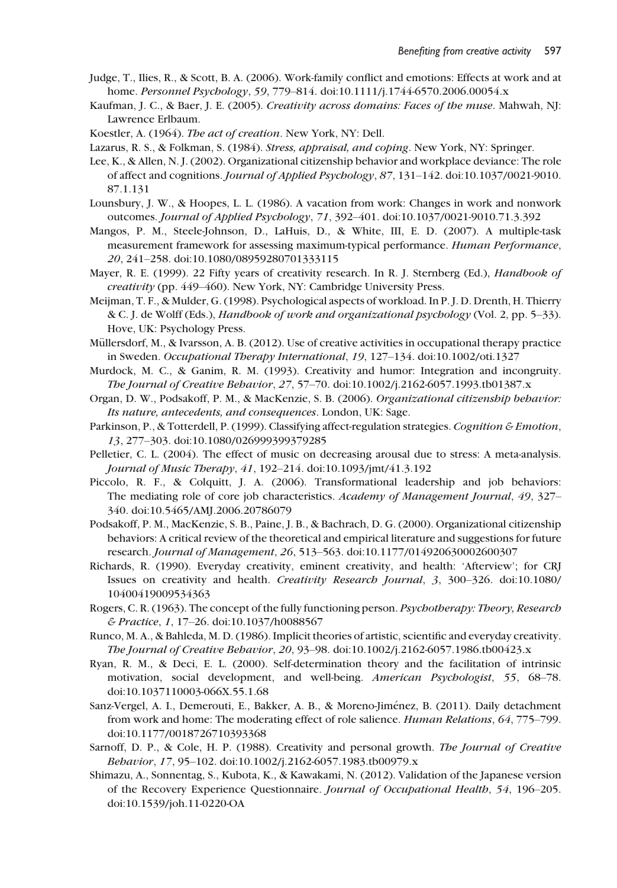- Judge, T., Ilies, R., & Scott, B. A. (2006). Work-family conflict and emotions: Effects at work and at home. Personnel Psychology, 59, 779–814. doi:10.1111/j.1744-6570.2006.00054.x
- Kaufman, J. C., & Baer, J. E. (2005). Creativity across domains: Faces of the muse. Mahwah, NJ: Lawrence Erlbaum.
- Koestler, A. (1964). The act of creation. New York, NY: Dell.
- Lazarus, R. S., & Folkman, S. (1984). Stress, appraisal, and coping. New York, NY: Springer.
- Lee, K., & Allen, N. J. (2002). Organizational citizenship behavior and workplace deviance: The role of affect and cognitions. Journal of Applied Psychology, 87, 131–142. doi:10.1037/0021-9010. 87.1.131
- Lounsbury, J. W., & Hoopes, L. L. (1986). A vacation from work: Changes in work and nonwork outcomes. Journal of Applied Psychology, 71, 392–401. doi:10.1037/0021-9010.71.3.392
- Mangos, P. M., Steele-Johnson, D., LaHuis, D., & White, III, E. D. (2007). A multiple-task measurement framework for assessing maximum-typical performance. Human Performance, 20, 241–258. doi:10.1080/08959280701333115
- Mayer, R. E. (1999). 22 Fifty years of creativity research. In R. J. Sternberg (Ed.), *Handbook of* creativity (pp. 449–460). New York, NY: Cambridge University Press.
- Meijman, T. F., & Mulder, G. (1998). Psychological aspects of workload. In P. J. D. Drenth, H. Thierry & C. J. de Wolff (Eds.), Handbook of work and organizational psychology (Vol. 2, pp. 5–33). Hove, UK: Psychology Press.
- Müllersdorf, M., & Ivarsson, A. B. (2012). Use of creative activities in occupational therapy practice in Sweden. Occupational Therapy International, 19, 127–134. doi:10.1002/oti.1327
- Murdock, M. C., & Ganim, R. M. (1993). Creativity and humor: Integration and incongruity. The Journal of Creative Behavior, 27, 57–70. doi:10.1002/j.2162-6057.1993.tb01387.x
- Organ, D. W., Podsakoff, P. M., & MacKenzie, S. B. (2006). Organizational citizenship behavior: Its nature, antecedents, and consequences. London, UK: Sage.
- Parkinson, P., & Totterdell, P. (1999). Classifying affect-regulation strategies. Cognition & Emotion, 13, 277–303. doi:10.1080/026999399379285
- Pelletier, C. L. (2004). The effect of music on decreasing arousal due to stress: A meta-analysis. Journal of Music Therapy, 41, 192–214. doi:10.1093/jmt/41.3.192
- Piccolo, R. F., & Colquitt, J. A. (2006). Transformational leadership and job behaviors: The mediating role of core job characteristics. Academy of Management Journal, 49, 327– 340. doi:10.5465/AMJ.2006.20786079
- Podsakoff, P. M., MacKenzie, S. B., Paine, J. B., & Bachrach, D. G. (2000). Organizational citizenship behaviors: A critical review of the theoretical and empirical literature and suggestions for future research. Journal of Management, 26, 513–563. doi:10.1177/014920630002600307
- Richards, R. (1990). Everyday creativity, eminent creativity, and health: 'Afterview'; for CRJ Issues on creativity and health. Creativity Research Journal, 3, 300–326. doi:10.1080/ 10400419009534363
- Rogers, C. R. (1963). The concept of the fully functioning person. Psychotherapy: Theory, Research & Practice, 1, 17–26. doi:10.1037/h0088567
- Runco, M. A., & Bahleda, M. D. (1986). Implicit theories of artistic, scientific and everyday creativity. The Journal of Creative Behavior, 20, 93–98. doi:10.1002/j.2162-6057.1986.tb00423.x
- Ryan, R. M., & Deci, E. L. (2000). Self-determination theory and the facilitation of intrinsic motivation, social development, and well-being. American Psychologist, 55, 68–78. doi:10.1037110003-066X.55.1.68
- Sanz-Vergel, A. I., Demerouti, E., Bakker, A. B., & Moreno-Jiménez, B. (2011). Daily detachment from work and home: The moderating effect of role salience. Human Relations, 64, 775–799. doi:10.1177/0018726710393368
- Sarnoff, D. P., & Cole, H. P. (1988). Creativity and personal growth. The Journal of Creative Behavior, 17, 95–102. doi:10.1002/j.2162-6057.1983.tb00979.x
- Shimazu, A., Sonnentag, S., Kubota, K., & Kawakami, N. (2012). Validation of the Japanese version of the Recovery Experience Questionnaire. Journal of Occupational Health, 54, 196–205. doi:10.1539/joh.11-0220-OA